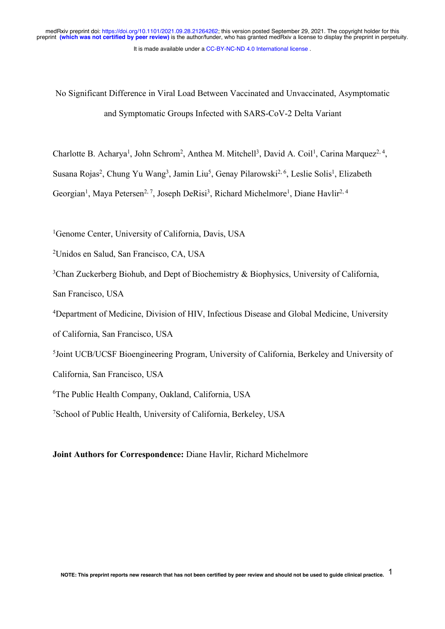No Significant Difference in Viral Load Between Vaccinated and Unvaccinated, Asymptomatic and Symptomatic Groups Infected with SARS-CoV-2 Delta Variant

Charlotte B. Acharya<sup>1</sup>, John Schrom<sup>2</sup>, Anthea M. Mitchell<sup>3</sup>, David A. Coil<sup>1</sup>, Carina Marquez<sup>2, 4</sup>,

Susana Rojas<sup>2</sup>, Chung Yu Wang<sup>3</sup>, Jamin Liu<sup>5</sup>, Genay Pilarowski<sup>2, 6</sup>, Leslie Solis<sup>1</sup>, Elizabeth

Georgian<sup>1</sup>, Maya Petersen<sup>2, 7</sup>, Joseph DeRisi<sup>3</sup>, Richard Michelmore<sup>1</sup>, Diane Havlir<sup>2, 4</sup>

<sup>1</sup>Genome Center, University of California, Davis, USA

2Unidos en Salud, San Francisco, CA, USA

<sup>3</sup>Chan Zuckerberg Biohub, and Dept of Biochemistry & Biophysics, University of California,

San Francisco, USA

4Department of Medicine, Division of HIV, Infectious Disease and Global Medicine, University

of California, San Francisco, USA

5Joint UCB/UCSF Bioengineering Program, University of California, Berkeley and University of

California, San Francisco, USA

6The Public Health Company, Oakland, California, USA

7School of Public Health, University of California, Berkeley, USA

# **Joint Authors for Correspondence:** Diane Havlir, Richard Michelmore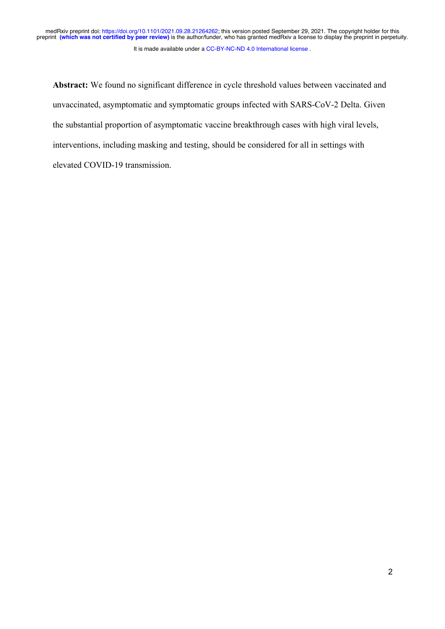It is made available under a CC-BY-NC-ND 4.0 International license.

**Abstract:** We found no significant difference in cycle threshold values between vaccinated and unvaccinated, asymptomatic and symptomatic groups infected with SARS-CoV-2 Delta. Given the substantial proportion of asymptomatic vaccine breakthrough cases with high viral levels, interventions, including masking and testing, should be considered for all in settings with elevated COVID-19 transmission.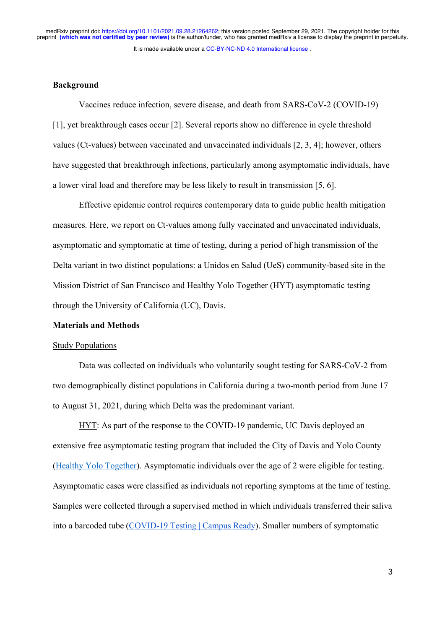## **Background**

Vaccines reduce infection, severe disease, and death from SARS-CoV-2 (COVID-19) [1], yet breakthrough cases occur [2]. Several reports show no difference in cycle threshold values (Ct-values) between vaccinated and unvaccinated individuals [2, 3, 4]; however, others have suggested that breakthrough infections, particularly among asymptomatic individuals, have a lower viral load and therefore may be less likely to result in transmission [5, 6].

Effective epidemic control requires contemporary data to guide public health mitigation measures. Here, we report on Ct-values among fully vaccinated and unvaccinated individuals, asymptomatic and symptomatic at time of testing, during a period of high transmission of the Delta variant in two distinct populations: a Unidos en Salud (UeS) community-based site in the Mission District of San Francisco and Healthy Yolo Together (HYT) asymptomatic testing through the University of California (UC), Davis.

## **Materials and Methods**

#### Study Populations

Data was collected on individuals who voluntarily sought testing for SARS-CoV-2 from two demographically distinct populations in California during a two-month period from June 17 to August 31, 2021, during which Delta was the predominant variant.

HYT: As part of the response to the COVID-19 pandemic, UC Davis deployed an extensive free asymptomatic testing program that included the City of Davis and Yolo County (Healthy Yolo Together). Asymptomatic individuals over the age of 2 were eligible for testing. Asymptomatic cases were classified as individuals not reporting symptoms at the time of testing. Samples were collected through a supervised method in which individuals transferred their saliva into a barcoded tube (COVID-19 Testing | Campus Ready). Smaller numbers of symptomatic

3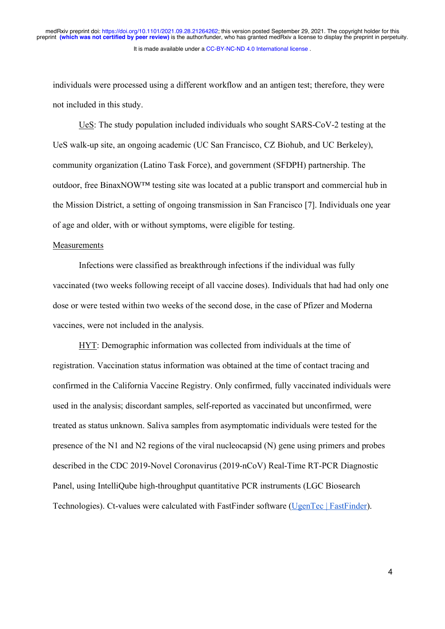individuals were processed using a different workflow and an antigen test; therefore, they were not included in this study.

UeS: The study population included individuals who sought SARS-CoV-2 testing at the UeS walk-up site, an ongoing academic (UC San Francisco, CZ Biohub, and UC Berkeley), community organization (Latino Task Force), and government (SFDPH) partnership. The outdoor, free BinaxNOW™ testing site was located at a public transport and commercial hub in the Mission District, a setting of ongoing transmission in San Francisco [7]. Individuals one year of age and older, with or without symptoms, were eligible for testing.

#### Measurements

Infections were classified as breakthrough infections if the individual was fully vaccinated (two weeks following receipt of all vaccine doses). Individuals that had had only one dose or were tested within two weeks of the second dose, in the case of Pfizer and Moderna vaccines, were not included in the analysis.

HYT: Demographic information was collected from individuals at the time of registration. Vaccination status information was obtained at the time of contact tracing and confirmed in the California Vaccine Registry. Only confirmed, fully vaccinated individuals were used in the analysis; discordant samples, self-reported as vaccinated but unconfirmed, were treated as status unknown. Saliva samples from asymptomatic individuals were tested for the presence of the N1 and N2 regions of the viral nucleocapsid (N) gene using primers and probes described in the CDC 2019-Novel Coronavirus (2019-nCoV) Real-Time RT-PCR Diagnostic Panel, using IntelliQube high-throughput quantitative PCR instruments (LGC Biosearch Technologies). Ct-values were calculated with FastFinder software (UgenTec | FastFinder).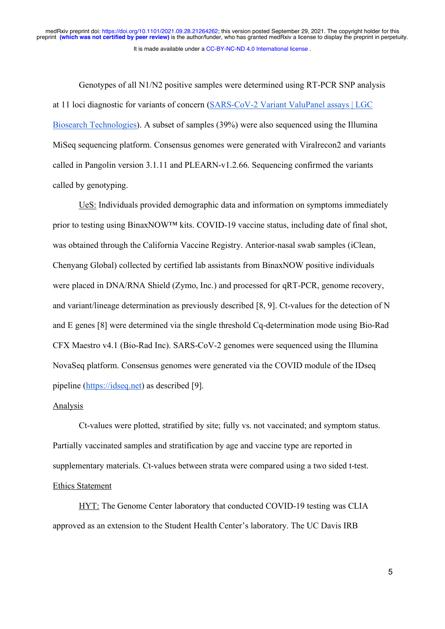Genotypes of all N1/N2 positive samples were determined using RT-PCR SNP analysis at 11 loci diagnostic for variants of concern (SARS-CoV-2 Variant ValuPanel assays | LGC Biosearch Technologies). A subset of samples (39%) were also sequenced using the Illumina MiSeq sequencing platform. Consensus genomes were generated with Viralrecon2 and variants called in Pangolin version 3.1.11 and PLEARN-v1.2.66. Sequencing confirmed the variants called by genotyping.

UeS: Individuals provided demographic data and information on symptoms immediately prior to testing using BinaxNOW™ kits. COVID-19 vaccine status, including date of final shot, was obtained through the California Vaccine Registry. Anterior-nasal swab samples (iClean, Chenyang Global) collected by certified lab assistants from BinaxNOW positive individuals were placed in DNA/RNA Shield (Zymo, Inc.) and processed for qRT-PCR, genome recovery, and variant/lineage determination as previously described [8, 9]. Ct-values for the detection of N and E genes [8] were determined via the single threshold Cq-determination mode using Bio-Rad CFX Maestro v4.1 (Bio-Rad Inc). SARS-CoV-2 genomes were sequenced using the Illumina NovaSeq platform. Consensus genomes were generated via the COVID module of the IDseq pipeline (https://idseq.net) as described [9].

### Analysis

Ct-values were plotted, stratified by site; fully vs. not vaccinated; and symptom status. Partially vaccinated samples and stratification by age and vaccine type are reported in supplementary materials. Ct-values between strata were compared using a two sided t-test. Ethics Statement

HYT: The Genome Center laboratory that conducted COVID-19 testing was CLIA approved as an extension to the Student Health Center's laboratory. The UC Davis IRB

5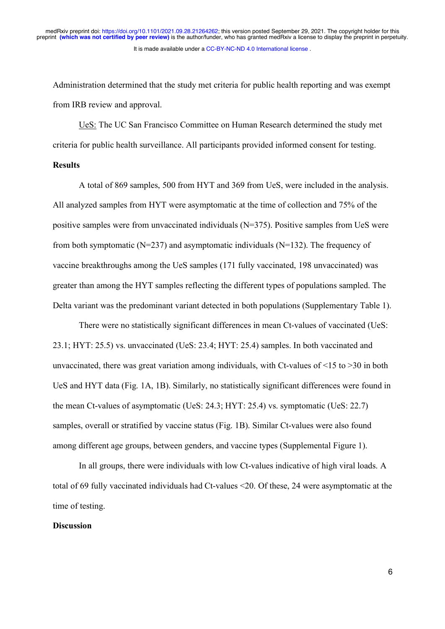Administration determined that the study met criteria for public health reporting and was exempt from IRB review and approval.

UeS: The UC San Francisco Committee on Human Research determined the study met criteria for public health surveillance. All participants provided informed consent for testing.

### **Results**

A total of 869 samples, 500 from HYT and 369 from UeS, were included in the analysis. All analyzed samples from HYT were asymptomatic at the time of collection and 75% of the positive samples were from unvaccinated individuals (N=375). Positive samples from UeS were from both symptomatic ( $N=237$ ) and asymptomatic individuals ( $N=132$ ). The frequency of vaccine breakthroughs among the UeS samples (171 fully vaccinated, 198 unvaccinated) was greater than among the HYT samples reflecting the different types of populations sampled. The Delta variant was the predominant variant detected in both populations (Supplementary Table 1).

There were no statistically significant differences in mean Ct-values of vaccinated (UeS: 23.1; HYT: 25.5) vs. unvaccinated (UeS: 23.4; HYT: 25.4) samples. In both vaccinated and unvaccinated, there was great variation among individuals, with Ct-values of  $\leq 15$  to  $\geq 30$  in both UeS and HYT data (Fig. 1A, 1B). Similarly, no statistically significant differences were found in the mean Ct-values of asymptomatic (UeS: 24.3; HYT: 25.4) vs. symptomatic (UeS: 22.7) samples, overall or stratified by vaccine status (Fig. 1B). Similar Ct-values were also found among different age groups, between genders, and vaccine types (Supplemental Figure 1).

In all groups, there were individuals with low Ct-values indicative of high viral loads. A total of 69 fully vaccinated individuals had Ct-values <20. Of these, 24 were asymptomatic at the time of testing.

#### **Discussion**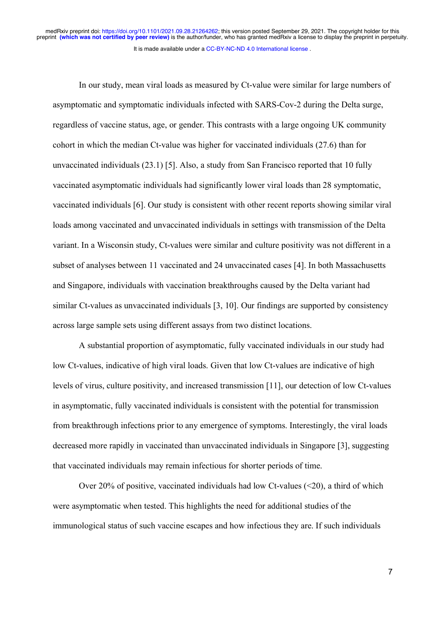In our study, mean viral loads as measured by Ct-value were similar for large numbers of asymptomatic and symptomatic individuals infected with SARS-Cov-2 during the Delta surge, regardless of vaccine status, age, or gender. This contrasts with a large ongoing UK community cohort in which the median Ct-value was higher for vaccinated individuals (27.6) than for unvaccinated individuals (23.1) [5]. Also, a study from San Francisco reported that 10 fully vaccinated asymptomatic individuals had significantly lower viral loads than 28 symptomatic, vaccinated individuals [6]. Our study is consistent with other recent reports showing similar viral loads among vaccinated and unvaccinated individuals in settings with transmission of the Delta variant. In a Wisconsin study, Ct-values were similar and culture positivity was not different in a subset of analyses between 11 vaccinated and 24 unvaccinated cases [4]. In both Massachusetts and Singapore, individuals with vaccination breakthroughs caused by the Delta variant had similar Ct-values as unvaccinated individuals [3, 10]. Our findings are supported by consistency across large sample sets using different assays from two distinct locations.

A substantial proportion of asymptomatic, fully vaccinated individuals in our study had low Ct-values, indicative of high viral loads. Given that low Ct-values are indicative of high levels of virus, culture positivity, and increased transmission [11], our detection of low Ct-values in asymptomatic, fully vaccinated individuals is consistent with the potential for transmission from breakthrough infections prior to any emergence of symptoms. Interestingly, the viral loads decreased more rapidly in vaccinated than unvaccinated individuals in Singapore [3], suggesting that vaccinated individuals may remain infectious for shorter periods of time.

Over 20% of positive, vaccinated individuals had low Ct-values (<20), a third of which were asymptomatic when tested. This highlights the need for additional studies of the immunological status of such vaccine escapes and how infectious they are. If such individuals

7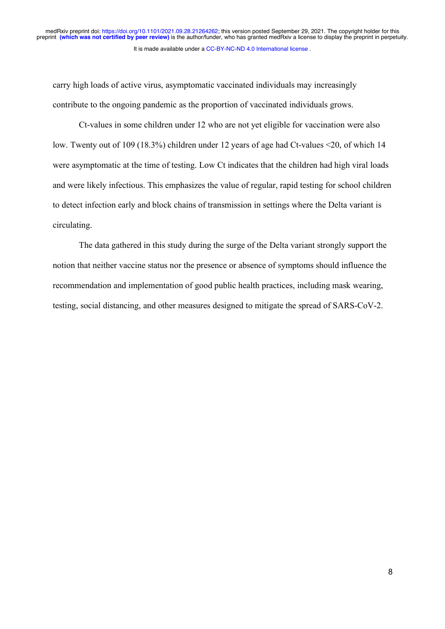carry high loads of active virus, asymptomatic vaccinated individuals may increasingly contribute to the ongoing pandemic as the proportion of vaccinated individuals grows.

Ct-values in some children under 12 who are not yet eligible for vaccination were also low. Twenty out of 109 (18.3%) children under 12 years of age had Ct-values <20, of which 14 were asymptomatic at the time of testing. Low Ct indicates that the children had high viral loads and were likely infectious. This emphasizes the value of regular, rapid testing for school children to detect infection early and block chains of transmission in settings where the Delta variant is circulating.

The data gathered in this study during the surge of the Delta variant strongly support the notion that neither vaccine status nor the presence or absence of symptoms should influence the recommendation and implementation of good public health practices, including mask wearing, testing, social distancing, and other measures designed to mitigate the spread of SARS-CoV-2.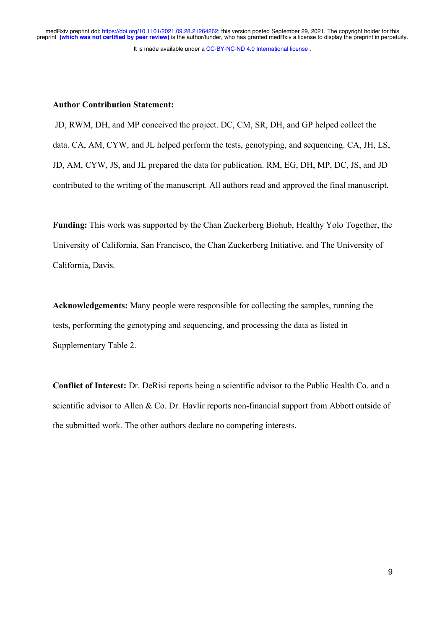## **Author Contribution Statement:**

JD, RWM, DH, and MP conceived the project. DC, CM, SR, DH, and GP helped collect the data. CA, AM, CYW, and JL helped perform the tests, genotyping, and sequencing. CA, JH, LS, JD, AM, CYW, JS, and JL prepared the data for publication. RM, EG, DH, MP, DC, JS, and JD contributed to the writing of the manuscript. All authors read and approved the final manuscript.

**Funding:** This work was supported by the Chan Zuckerberg Biohub, Healthy Yolo Together, the University of California, San Francisco, the Chan Zuckerberg Initiative, and The University of California, Davis.

**Acknowledgements:** Many people were responsible for collecting the samples, running the tests, performing the genotyping and sequencing, and processing the data as listed in Supplementary Table 2.

**Conflict of Interest:** Dr. DeRisi reports being a scientific advisor to the Public Health Co. and a scientific advisor to Allen & Co. Dr. Havlir reports non-financial support from Abbott outside of the submitted work. The other authors declare no competing interests.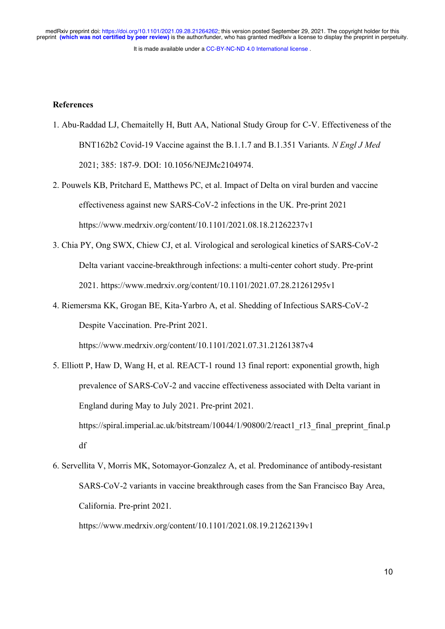It is made available under a CC-BY-NC-ND 4.0 International license. medRxiv preprint doi: https://doi.org/10.1101/2021.09.28.21264262; this version posted September 29, 2021. The copyright holder for this<br>preprint (which was not certified by peer review) is the author/funder, who has grant

## **References**

- 1. Abu-Raddad LJ, Chemaitelly H, Butt AA, National Study Group for C-V. Effectiveness of the BNT162b2 Covid-19 Vaccine against the B.1.1.7 and B.1.351 Variants. *N Engl J Med* 2021; 385: 187-9. DOI: 10.1056/NEJMc2104974.
- 2. Pouwels KB, Pritchard E, Matthews PC, et al. Impact of Delta on viral burden and vaccine effectiveness against new SARS-CoV-2 infections in the UK. Pre-print 2021 https://www.medrxiv.org/content/10.1101/2021.08.18.21262237v1
- 3. Chia PY, Ong SWX, Chiew CJ, et al. Virological and serological kinetics of SARS-CoV-2 Delta variant vaccine-breakthrough infections: a multi-center cohort study. Pre-print 2021. https://www.medrxiv.org/content/10.1101/2021.07.28.21261295v1
- 4. Riemersma KK, Grogan BE, Kita-Yarbro A, et al. Shedding of Infectious SARS-CoV-2 Despite Vaccination. Pre-Print 2021.

https://www.medrxiv.org/content/10.1101/2021.07.31.21261387v4

- 5. Elliott P, Haw D, Wang H, et al. REACT-1 round 13 final report: exponential growth, high prevalence of SARS-CoV-2 and vaccine effectiveness associated with Delta variant in England during May to July 2021. Pre-print 2021. https://spiral.imperial.ac.uk/bitstream/10044/1/90800/2/react1\_r13\_final\_preprint\_final.p df
- 6. Servellita V, Morris MK, Sotomayor-Gonzalez A, et al. Predominance of antibody-resistant SARS-CoV-2 variants in vaccine breakthrough cases from the San Francisco Bay Area, California. Pre-print 2021.

https://www.medrxiv.org/content/10.1101/2021.08.19.21262139v1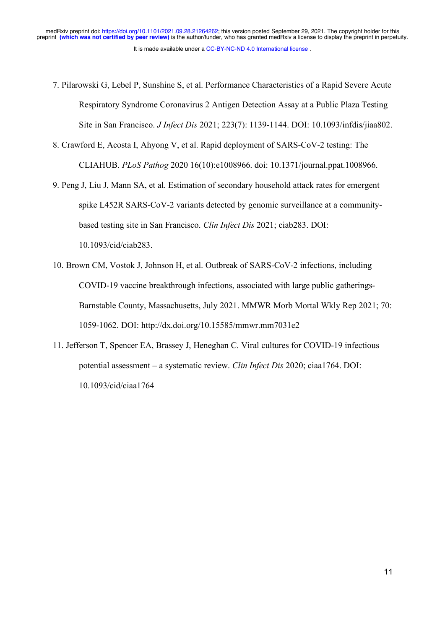- 7. Pilarowski G, Lebel P, Sunshine S, et al. Performance Characteristics of a Rapid Severe Acute Respiratory Syndrome Coronavirus 2 Antigen Detection Assay at a Public Plaza Testing Site in San Francisco. *J Infect Dis* 2021; 223(7): 1139-1144. DOI: 10.1093/infdis/jiaa802.
- 8. Crawford E, Acosta I, Ahyong V, et al. Rapid deployment of SARS-CoV-2 testing: The CLIAHUB. *PLoS Pathog* 2020 16(10):e1008966. doi: 10.1371/journal.ppat.1008966.
- 9. Peng J, Liu J, Mann SA, et al. Estimation of secondary household attack rates for emergent spike L452R SARS-CoV-2 variants detected by genomic surveillance at a communitybased testing site in San Francisco. *Clin Infect Dis* 2021; ciab283. DOI: 10.1093/cid/ciab283.
- 10. Brown CM, Vostok J, Johnson H, et al. Outbreak of SARS-CoV-2 infections, including COVID-19 vaccine breakthrough infections, associated with large public gatherings-Barnstable County, Massachusetts, July 2021. MMWR Morb Mortal Wkly Rep 2021; 70: 1059-1062. DOI: http://dx.doi.org/10.15585/mmwr.mm7031e2
- 11. Jefferson T, Spencer EA, Brassey J, Heneghan C. Viral cultures for COVID-19 infectious potential assessment – a systematic review. *Clin Infect Dis* 2020; ciaa1764. DOI: 10.1093/cid/ciaa1764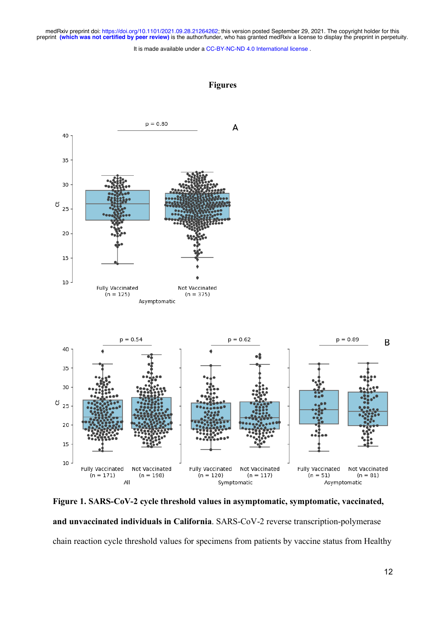medRxiv preprint doi: https://doi.org/10.1101/2021.09.28.21264262; this version posted September 29, 2021. The copyright holder for this<br>preprint (which was not certified by peer review) is the author/funder, who has grant

It is made available under a CC-BY-NC-ND 4.0 International license.



**Figure 1. SARS-CoV-2 cycle threshold values in asymptomatic, symptomatic, vaccinated, and unvaccinated individuals in California**. SARS-CoV-2 reverse transcription-polymerase chain reaction cycle threshold values for specimens from patients by vaccine status from Healthy

**Figures**